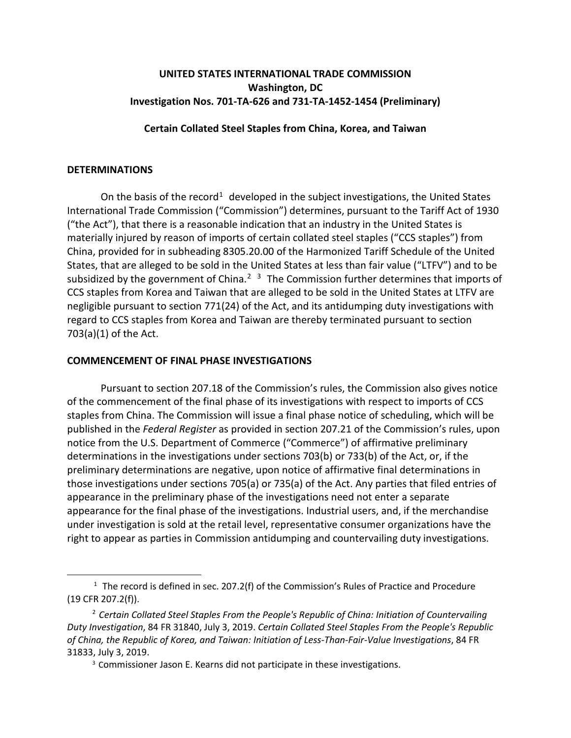# **UNITED STATES INTERNATIONAL TRADE COMMISSION Washington, DC Investigation Nos. 701-TA-626 and 731-TA-1452-1454 (Preliminary)**

## **Certain Collated Steel Staples from China, Korea, and Taiwan**

#### **DETERMINATIONS**

 $\overline{a}$ 

On the basis of the record<sup>[1](#page-0-0)</sup> developed in the subject investigations, the United States International Trade Commission ("Commission") determines, pursuant to the Tariff Act of 1930 ("the Act"), that there is a reasonable indication that an industry in the United States is materially injured by reason of imports of certain collated steel staples ("CCS staples") from China, provided for in subheading 8305.20.00 of the Harmonized Tariff Schedule of the United States, that are alleged to be sold in the United States at less than fair value ("LTFV") and to be subsidized by the government of China.<sup>[2](#page-0-1)</sup>  $3$  The Commission further determines that imports of CCS staples from Korea and Taiwan that are alleged to be sold in the United States at LTFV are negligible pursuant to section 771(24) of the Act, and its antidumping duty investigations with regard to CCS staples from Korea and Taiwan are thereby terminated pursuant to section 703(a)(1) of the Act.

## **COMMENCEMENT OF FINAL PHASE INVESTIGATIONS**

Pursuant to section 207.18 of the Commission's rules, the Commission also gives notice of the commencement of the final phase of its investigations with respect to imports of CCS staples from China. The Commission will issue a final phase notice of scheduling, which will be published in the *Federal Register* as provided in section 207.21 of the Commission's rules, upon notice from the U.S. Department of Commerce ("Commerce") of affirmative preliminary determinations in the investigations under sections 703(b) or 733(b) of the Act, or, if the preliminary determinations are negative, upon notice of affirmative final determinations in those investigations under sections 705(a) or 735(a) of the Act. Any parties that filed entries of appearance in the preliminary phase of the investigations need not enter a separate appearance for the final phase of the investigations. Industrial users, and, if the merchandise under investigation is sold at the retail level, representative consumer organizations have the right to appear as parties in Commission antidumping and countervailing duty investigations.

<span id="page-0-0"></span> $1$  The record is defined in sec. 207.2(f) of the Commission's Rules of Practice and Procedure (19 CFR 207.2(f)).

<span id="page-0-2"></span><span id="page-0-1"></span><sup>2</sup> *Certain Collated Steel Staples From the People's Republic of China: Initiation of Countervailing Duty Investigation*, 84 FR 31840, July 3, 2019. *Certain Collated Steel Staples From the People's Republic of China, the Republic of Korea, and Taiwan: Initiation of Less-Than-Fair-Value Investigations*, 84 FR 31833, July 3, 2019.

<sup>&</sup>lt;sup>3</sup> Commissioner Jason E. Kearns did not participate in these investigations.